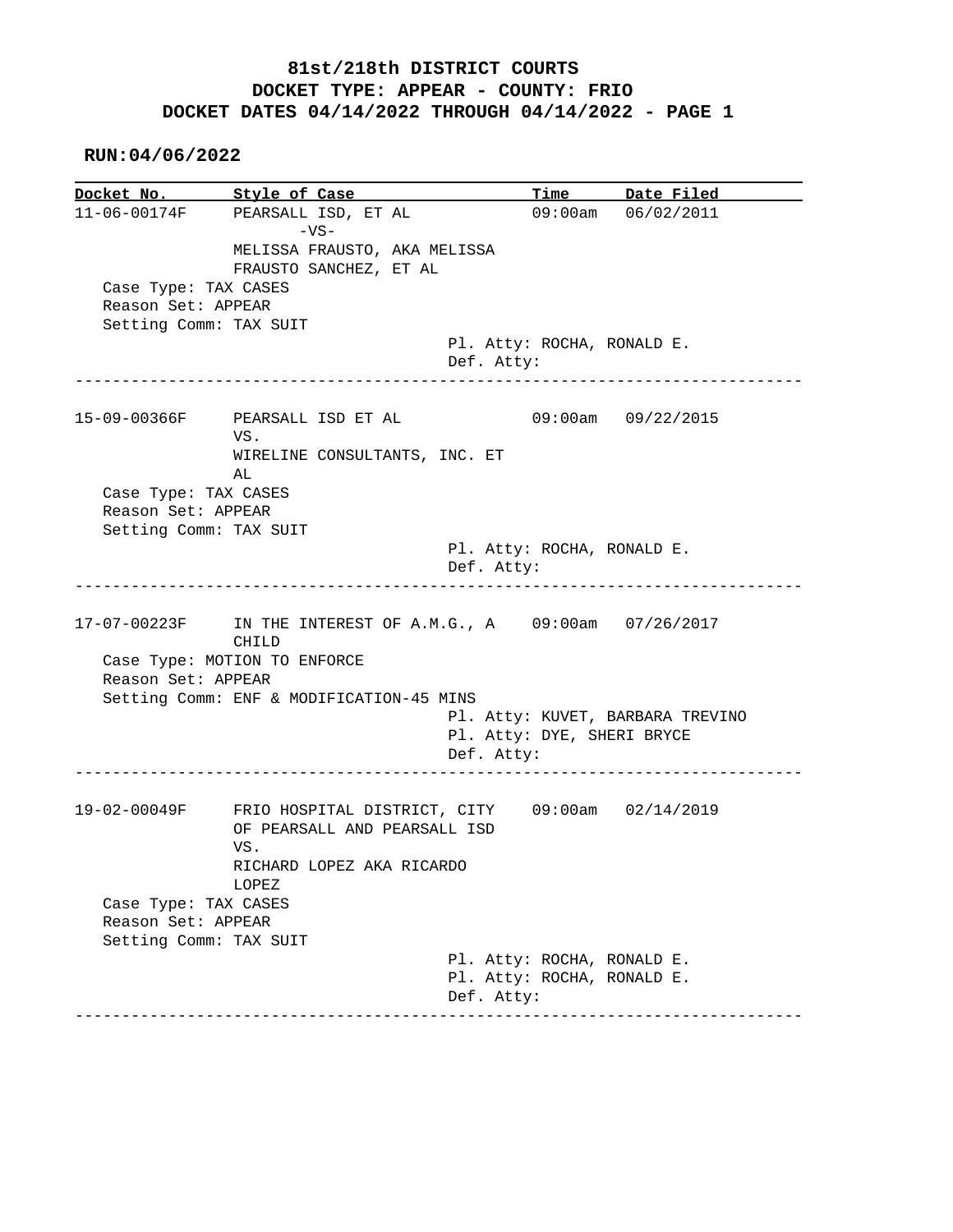## **81st/218th DISTRICT COURTS DOCKET TYPE: APPEAR - COUNTY: FRIO DOCKET DATES 04/14/2022 THROUGH 04/14/2022 - PAGE 1**

 **RUN:04/06/2022**

**Docket No. Style of Case Time Date Filed** 11-06-00174F PEARSALL ISD, ET AL 09:00am 06/02/2011 PEARSALL ISD, ET AL 09:00am 06/02/2011  $-VS-$  MELISSA FRAUSTO, AKA MELISSA FRAUSTO SANCHEZ, ET AL Case Type: TAX CASES Reason Set: APPEAR Setting Comm: TAX SUIT Pl. Atty: ROCHA, RONALD E. Def. Atty: ------------------------------------------------------------------------------ 15-09-00366F PEARSALL ISD ET AL 09:00am 09/22/2015 VS. WIRELINE CONSULTANTS, INC. ET AL Case Type: TAX CASES Reason Set: APPEAR Setting Comm: TAX SUIT Pl. Atty: ROCHA, RONALD E. Def. Atty: ------------------------------------------------------------------------------ 17-07-00223F IN THE INTEREST OF A.M.G., A 09:00am 07/26/2017 CHILD Case Type: MOTION TO ENFORCE Reason Set: APPEAR Setting Comm: ENF & MODIFICATION-45 MINS Pl. Atty: KUVET, BARBARA TREVINO Pl. Atty: DYE, SHERI BRYCE Def. Atty: ------------------------------------------------------------------------------ 19-02-00049F FRIO HOSPITAL DISTRICT, CITY 09:00am 02/14/2019 OF PEARSALL AND PEARSALL ISD VS. RICHARD LOPEZ AKA RICARDO LOPEZ Case Type: TAX CASES Reason Set: APPEAR Setting Comm: TAX SUIT Pl. Atty: ROCHA, RONALD E. Pl. Atty: ROCHA, RONALD E. Def. Atty: ------------------------------------------------------------------------------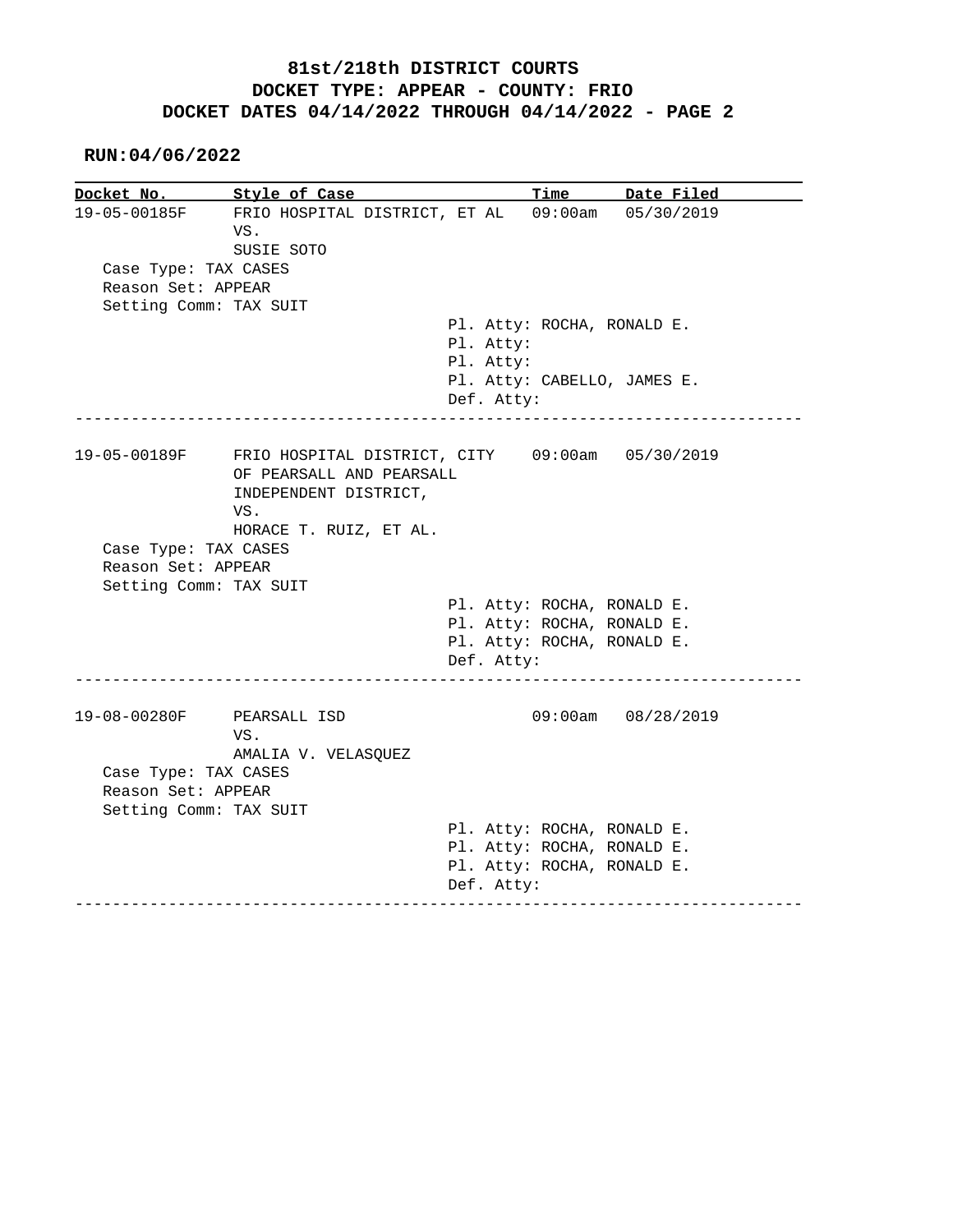## **81st/218th DISTRICT COURTS DOCKET TYPE: APPEAR - COUNTY: FRIO DOCKET DATES 04/14/2022 THROUGH 04/14/2022 - PAGE 2**

 **RUN:04/06/2022**

| Docket No.                | Style of Case                                                               |            | Time                       | Date Filed                  |
|---------------------------|-----------------------------------------------------------------------------|------------|----------------------------|-----------------------------|
| 19-05-00185F              | FRIO HOSPITAL DISTRICT, ET AL 09:00am 05/30/2019<br>VS.<br>SUSIE SOTO       |            |                            |                             |
| Case Type: TAX CASES      |                                                                             |            |                            |                             |
| Reason Set: APPEAR        |                                                                             |            |                            |                             |
| Setting Comm: TAX SUIT    |                                                                             |            |                            |                             |
|                           |                                                                             |            | Pl. Atty: ROCHA, RONALD E. |                             |
|                           |                                                                             | Pl. Atty:  |                            |                             |
|                           |                                                                             | Pl. Atty:  |                            |                             |
|                           |                                                                             |            |                            | Pl. Atty: CABELLO, JAMES E. |
|                           |                                                                             | Def. Atty: |                            |                             |
| 19-05-00189F              | FRIO HOSPITAL DISTRICT, CITY 09:00am 05/30/2019<br>OF PEARSALL AND PEARSALL |            |                            |                             |
|                           | INDEPENDENT DISTRICT,                                                       |            |                            |                             |
|                           | VS.                                                                         |            |                            |                             |
|                           | HORACE T. RUIZ, ET AL.                                                      |            |                            |                             |
| Case Type: TAX CASES      |                                                                             |            |                            |                             |
| Reason Set: APPEAR        |                                                                             |            |                            |                             |
| Setting Comm: TAX SUIT    |                                                                             |            |                            |                             |
|                           |                                                                             |            | Pl. Atty: ROCHA, RONALD E. |                             |
|                           |                                                                             |            | Pl. Atty: ROCHA, RONALD E. |                             |
|                           |                                                                             |            | Pl. Atty: ROCHA, RONALD E. |                             |
|                           |                                                                             | Def. Atty: |                            |                             |
| 19-08-00280F PEARSALL ISD | VS.<br>AMALIA V. VELASQUEZ                                                  |            |                            | $09:00am$ $08/28/2019$      |
| Case Type: TAX CASES      |                                                                             |            |                            |                             |
| Reason Set: APPEAR        |                                                                             |            |                            |                             |
| Setting Comm: TAX SUIT    |                                                                             |            |                            |                             |
|                           |                                                                             |            | Pl. Atty: ROCHA, RONALD E. |                             |
|                           |                                                                             |            | Pl. Atty: ROCHA, RONALD E. |                             |
|                           |                                                                             |            | Pl. Atty: ROCHA, RONALD E. |                             |
|                           |                                                                             |            |                            |                             |
|                           |                                                                             | Def. Atty: |                            |                             |